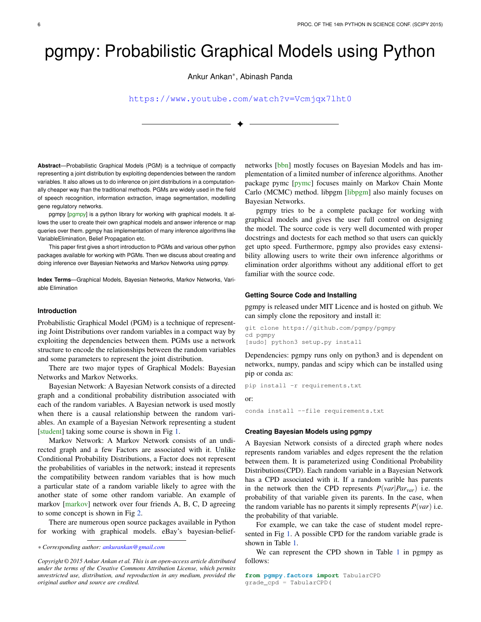# pgmpy: Probabilistic Graphical Models using Python

Ankur Ankan<sup>∗</sup> , Abinash Panda

<https://www.youtube.com/watch?v=Vcmjqx7lht0>

✦

**Abstract**—Probabilistic Graphical Models (PGM) is a technique of compactly representing a joint distribution by exploiting dependencies between the random variables. It also allows us to do inference on joint distributions in a computationally cheaper way than the traditional methods. PGMs are widely used in the field of speech recognition, information extraction, image segmentation, modelling gene regulatory networks.

pgmpy [\[pgmpy\]](#page-5-0) is a python library for working with graphical models. It allows the user to create their own graphical models and answer inference or map queries over them. pgmpy has implementation of many inference algorithms like VariableElimination, Belief Propagation etc.

This paper first gives a short introduction to PGMs and various other python packages available for working with PGMs. Then we discuss about creating and doing inference over Bayesian Networks and Markov Networks using pgmpy.

**Index Terms**—Graphical Models, Bayesian Networks, Markov Networks, Variable Elimination

## **Introduction**

Probabilistic Graphical Model (PGM) is a technique of representing Joint Distributions over random variables in a compact way by exploiting the dependencies between them. PGMs use a network structure to encode the relationships between the random variables and some parameters to represent the joint distribution.

There are two major types of Graphical Models: Bayesian Networks and Markov Networks.

Bayesian Network: A Bayesian Network consists of a directed graph and a conditional probability distribution associated with each of the random variables. A Bayesian network is used mostly when there is a causal relationship between the random variables. An example of a Bayesian Network representing a student [\[student\]](#page-5-1) taking some course is shown in Fig [1.](#page-1-0)

Markov Network: A Markov Network consists of an undirected graph and a few Factors are associated with it. Unlike Conditional Probability Distributions, a Factor does not represent the probabilities of variables in the network; instead it represents the compatibility between random variables that is how much a particular state of a random variable likely to agree with the another state of some other random variable. An example of markov [\[markov\]](#page-5-2) network over four friends A, B, C, D agreeing to some concept is shown in Fig [2.](#page-1-1)

There are numerous open source packages available in Python for working with graphical models. eBay's bayesian-belief-

*Copyright © 2015 Ankur Ankan et al. This is an open-access article distributed under the terms of the Creative Commons Attribution License, which permits unrestricted use, distribution, and reproduction in any medium, provided the original author and source are credited.*

networks [\[bbn\]](#page-5-3) mostly focuses on Bayesian Models and has implementation of a limited number of inference algorithms. Another package pymc [\[pymc\]](#page-5-4) focuses mainly on Markov Chain Monte Carlo (MCMC) method. libpgm [\[libpgm\]](#page-5-5) also mainly focuses on Bayesian Networks.

pgmpy tries to be a complete package for working with graphical models and gives the user full control on designing the model. The source code is very well documented with proper docstrings and doctests for each method so that users can quickly get upto speed. Furthermore, pgmpy also provides easy extensibility allowing users to write their own inference algorithms or elimination order algorithms without any additional effort to get familiar with the source code.

#### **Getting Source Code and Installing**

pgmpy is released under MIT Licence and is hosted on github. We can simply clone the repository and install it:

```
git clone https://github.com/pgmpy/pgmpy
cd pgmpy
[sudo] python3 setup.py install
```
Dependencies: pgmpy runs only on python3 and is dependent on networkx, numpy, pandas and scipy which can be installed using pip or conda as:

```
pip install -r requirements.txt
```
or:

conda install --file requirements.txt

### **Creating Bayesian Models using pgmpy**

A Bayesian Network consists of a directed graph where nodes represents random variables and edges represent the the relation between them. It is parameterized using Conditional Probability Distributions(CPD). Each random variable in a Bayesian Network has a CPD associated with it. If a random varible has parents in the network then the CPD represents  $P(var | Par_{var})$  i.e. the probability of that variable given its parents. In the case, when the random variable has no parents it simply represents  $P(var)$  i.e. the probability of that variable.

For example, we can take the case of student model represented in Fig [1.](#page-1-0) A possible CPD for the random variable grade is shown in Table [1.](#page-2-0)

We can represent the CPD shown in Table [1](#page-2-0) in pgmpy as follows:

*<sup>\*</sup> Corresponding author: [ankurankan@gmail.com](mailto:ankurankan@gmail.com)*

**from pgmpy.factors import** TabularCPD grade\_cpd = TabularCPD(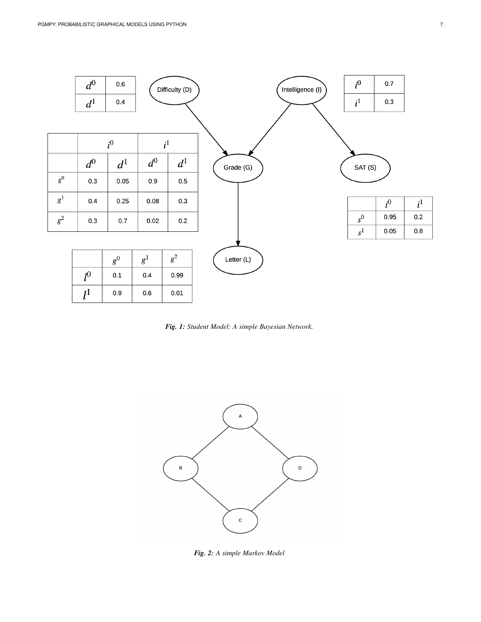<span id="page-1-0"></span>

*Fig. 1: Student Model: A simple Bayesian Network.*

<span id="page-1-1"></span>

*Fig. 2: A simple Markov Model*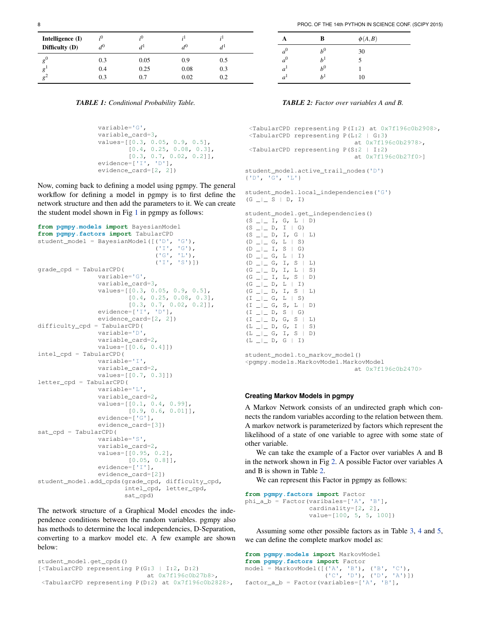<span id="page-2-0"></span>

| Intelligence $(I)$<br>Difficulty (D) | $d^0$ |      | $d^0$ |     |
|--------------------------------------|-------|------|-------|-----|
| $g^0$                                | 0.3   | 0.05 | 0.9   | 0.5 |
| g                                    | 0.4   | 0.25 | 0.08  | 0.3 |
| $g^2$                                | 0.3   | 0.7  | 0.02  | 0.2 |

*TABLE 1: Conditional Probability Table.*

```
variable='G',
variable_card=3,
values=[[0.3, 0.05, 0.9, 0.5],
        [0.4, 0.25, 0.08, 0.3],[0.3, 0.7, 0.02, 0.2]],
evidence=['I', 'D'],
evidence_card=[2, 2])
```
Now, coming back to defining a model using pgmpy. The general workflow for defining a model in pgmpy is to first define the network structure and then add the parameters to it. We can create the student model shown in Fig [1](#page-1-0) in pgmpy as follows:

```
from pgmpy.models import BayesianModel
from pgmpy.factors import TabularCPD
student_model = BayesianModel([('D', 'G'),
                                ('I', 'G'),
                                ('G', 'L'),
                                ('I', 'S')])
grade_cpd = TabularCPD(
                variable='G',
                variable_card=3,
                values=[[0.3, 0.05, 0.9, 0.5],
                         [0.4, 0.25, 0.08, 0.3],
                         [0.3, 0.7, 0.02, 0.2]],
                evidence=['I', 'D'],
                evidence_card=[2, 2])
difficulty_cpd = TabularCPD(
                variable='D',
                variable_card=2,
                values=[[0.6, 0.4]])
intel_cpd = TabularCPD(
                variable='I',
                variable_card=2,
                values=[[0.7, 0.3]])
letter_cpd = TabularCPD(
                variable='L',
                variable_card=2,
                values=[[0.1, 0.4, 0.99],
                         [0.9, 0.6, 0.01]],
                evidence=['G'],
                evidence_card=[3])
sat_cpd = TabularCPD(
                variable='S',
                variable_card=2,
                values=[[0.95, 0.2],
                         [0.05, 0.8]],
                evidence=['I'],
                evidence_card=[2])
student_model.add_cpds(grade_cpd, difficulty_cpd,
                        intel_cpd, letter_cpd,
```
sat\_cpd)

The network structure of a Graphical Model encodes the independence conditions between the random variables. pgmpy also has methods to determine the local independencies, D-Separation, converting to a markov model etc. A few example are shown below:

```
student_model.get_cpds()
[<TabularCPD representing P(G:3 | I:2, D:2)
                             at 0x7f196c0b27b8>,
 <TabularCPD representing P(D:2) at 0x7f196c0b2828>,
```
*TABLE 2: Factor over variables A and B.*

 $1 \hspace{1.5cm} 5$ 

 $\overline{0}$  1

 $b<sup>1</sup>$  10

<span id="page-2-1"></span>**A B**  $\phi(A,B)$ 

 $b^0$ 

*a*

*a*

*a*

*a* <sup>0</sup> *b*

<sup>1</sup> *b*

<sup>1</sup> *b*

```
<TabularCPD representing P(I:2) at 0x7f196c0b2908>,
\langleTabularCPD representing P(L:2 | G:3)
                             at 0x7f196c0b2978>,
<TabularCPD representing P(S:2 | I:2)
                             at 0x7f196c0b27f0>]
```
student\_model.active\_trail\_nodes('D') {'D', 'G', 'L'}

student\_model.local\_independencies('G')  $(G_$   $\Box$   $S$   $\Box$   $D,$   $I)$ 

student model.get independencies()  $(S_1 = | I, G, L | \overline{D})$  $(S \_ \_ \_ \_ \ D, I \ | \ G)$  $(S \_ \_ \_ \_ D, I, G \ | L)$ (D \_|\_ G, L | S)  $\begin{array}{ccccccc} \text{(D & \text{---} \text{---} & \text{I} \text{,} & \text{S} & \text{--} \text{G)} \end{array}$  $(D_$   $\Box$   $C_$ ,  $L$   $\Box$   $T$  $(D \_ | \_ G, I, S | L)$  $(G_$   $\Box$   $\Box$   $D,$   $I,$   $L$   $\Box$   $S)$  $(G_$   $\Box$   $\Box$   $\Box$   $L$ ,  $S$   $\Box$   $D)$  $(G_$   $\Box$   $\Box$   $D,$   $\Box$   $\Box$   $\Box$   $)$  $(G_$   $\Box$   $\Box$   $D,$   $I, S$   $\Box$   $L)$  $(I_-|_$  G, L  $|S)$  $(I_{\_}\_ \_ G, S, L | D)$  $(I \_ \_ \_ \ D, S \ | G)$  $(\verb|I _ -|_-\verb|D ,\verb|G ,\verb|S |\verb|L )$  $\left(\begin{matrix} \text{L} & \text{L} & \text{L} & \text{D} & \text{G} & \text{I} & \text{S} \end{matrix}\right)$  $(L_$   $\_$   $C,$   $T,$   $S$   $|$   $D)$  $(L _ -| _ - D, G | I)$ student\_model.to\_markov\_model() <pgmpy.models.MarkovModel.MarkovModel

```
at 0x7f196c0b2470>
```
#### **Creating Markov Models in pgmpy**

A Markov Network consists of an undirected graph which connects the random variables according to the relation between them. A markov network is parameterized by factors which represent the likelihood of a state of one variable to agree with some state of other variable.

We can take the example of a Factor over variables A and B in the network shown in Fig [2.](#page-1-1) A possible Factor over variables A and B is shown in Table [2.](#page-2-1)

We can represent this Factor in pgmpy as follows:

**from pgmpy.factors import** Factor  $phi_a_b = Factor(varibales=['A', 'B']$ , cardinality=[2, 2], value=[100, 5, 5, 100])

Assuming some other possible factors as in Table [3,](#page-3-0) [4](#page-3-1) and [5,](#page-3-2) we can define the complete markov model as:

```
from pgmpy.models import MarkovModel
from pgmpy.factors import Factor
model = MarkovModel([('A', 'B'), ('B', 'C'),
                     ('C', 'D'), ('D', 'A')])
factor_a_b = Factor(variables=['A', 'B'],
```
30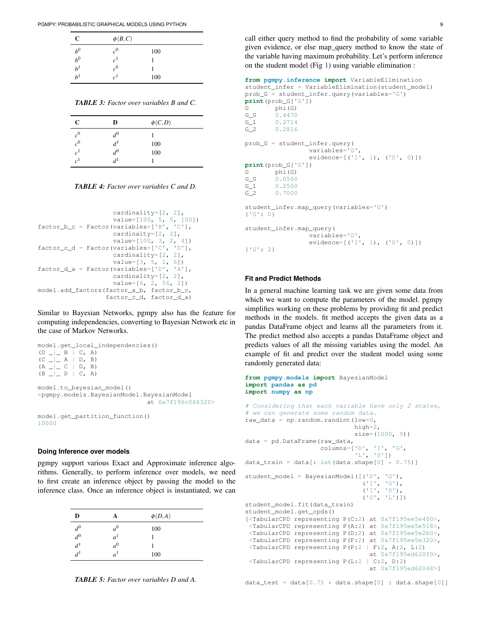<span id="page-3-0"></span>

| C              | $\phi(B,C)$    |     |
|----------------|----------------|-----|
| $b^0$          | $c^0$          | 100 |
| $b^0$          | c <sup>1</sup> |     |
| $b^1$          | $c^0$          |     |
| h <sup>1</sup> | c <sup>1</sup> | 100 |

*TABLE 3: Factor over variables B and C.*

<span id="page-3-1"></span>

| C              | D               | $\phi(C,D)$ |  |
|----------------|-----------------|-------------|--|
| c <sup>0</sup> | $d^0$           |             |  |
| $\bar{c}^0$    | $d^1$           | 100         |  |
| c <sup>1</sup> | $d^0$           | 100         |  |
| c <sup>1</sup> | $\mathcal{A}^1$ |             |  |

*TABLE 4: Factor over variables C and D.*

```
cardinality=[2, 2],
                    value=[100, 5, 5, 100])
factor_b_c = Factor(variables=['B', 'C'],cardinaity=[2, 2],
                    value=[100, 3, 2, 4])
factor_c_d = Factor(variables=['C', 'D'],
                   cardinality=[2, 2],
                    value=[3, 5, 1, 6])
factor_d_a = Factor(variables=['D', 'A'],
                    cardinality=[2, 2],
                    value=[6, 2, 56, 2])
model.add_factors(factor_a_b, factor_b_c,
                  factor_c_d, factor_d_a)
```
Similar to Bayesian Networks, pgmpy also has the feature for computing independencies, converting to Bayesian Network etc in the case of Markov Networks.

```
model.get_local_independencies()
 \begin{array}{ccccccc} \text{(D & \text{---} & B & | & C, & A) \end{array}(\texttt{C} \ \_\| \ \texttt{A} \ \mid \ \texttt{D, B})\left(\begin{matrix} \mathbf{A} & \mathbf{I} & \mathbf{I} & \mathbf{C} & \mathbf{I} & \mathbf{D} \end{matrix}\right) \quad \mathbf{B}\begin{tabular}{ccccccc} (B & \hspace{-.07cm} \textbf{$\sqcup$} & \hspace{-.07cm} \textbf{$\sqcup$} & D & | & C, & A) \end{tabular}model.to_bayesian_model()
<pgmpy.models.BayesianModel.BayesianModel
                                                                         at 0x7f196c084320>
model.get_partition_function()
10000
```
#### **Doing Inference over models**

pgmpy support various Exact and Approximate inference algorithms. Generally, to perform inference over models, we need to first create an inference object by passing the model to the inference class. Once an inference object is instantiated, we can

<span id="page-3-2"></span>

| D                 | А              | $\phi(D,A)$ |
|-------------------|----------------|-------------|
|                   | a <sup>0</sup> | 100         |
| $\frac{d^0}{d^0}$ | a <sup>1</sup> |             |
|                   | a <sup>0</sup> |             |
| $d^1$             | a <sup>1</sup> | 100         |



call either query method to find the probability of some variable given evidence, or else map\_query method to know the state of the variable having maximum probability. Let's perform inference on the student model (Fig [1\)](#page-1-0) using variable elimination :

```
from pgmpy.inference import VariableElimination
student_infer = VariableElimination(student_model)
prob_G = student_infer.query(variables='G')
print(prob_G['G'])
G phi(G)
G_0 0.4470
G<sub>1</sub> 0.2714
G_2 0.2816
prob_G = student_infer.query(
                 variables='G',
                 evidence=[('I', 1), ('D', 0)])print(prob_G['G'])
G phi(G)
G_0 0.0500
G_1 0.2500<br>G_2 0.7000
        G_2 0.7000
student_infer.map_query(variables='G')
{'G': 0}
student_infer.map_query(
                 variables='G',
                 evidence=[('I', 1), ('D', 0)])
{'G': 2}
```
## **Fit and Predict Methods**

In a general machine learning task we are given some data from which we want to compute the parameters of the model. pgmpy simplifies working on these problems by providing fit and predict methods in the models. fit method accepts the given data as a pandas DataFrame object and learns all the parameters from it. The predict method also accepts a pandas DataFrame object and predicts values of all the missing variables using the model. An example of fit and predict over the student model using some randomly generated data:

**from pgmpy.models import** BayesianModel

```
import pandas as pd
import numpy as np
# Considering that each variable have only 2 states,
# we can generate some random data.
raw_data = np.random.random.randint(low=0,
                             high=2.
                             size=(1000, 5)data = pd.DataFrame(raw_data,
                    columns=['D', 'I', 'G',
                              'L', 'S'])
data_train = data[: int(data.shape[0] * 0.75)]
student_model = BayesianModel([('D', 'G'),
                                ('I', 'G'),
                                ('I', 'S'),
                                ('G', 'L')])
student model.fit(data_train)
student_model.get_cpds()
[<TabularCPD representing P(C:2) at 0x7f195ee5e400>,
<TabularCPD representing P(A:2) at 0x7f195ee5e518>,
<TabularCPD representing P(D:2) at 0x7f195ee5e2b0>,
<TabularCPD representing P(F:2) at 0x7f195ee5e320>,
<TabularCPD representing P(P:2 | F:2, A:2, L:2)
                                 at 0x7f195ed620f0>,
<TabularCPD representing P(L:2 | C:2, D:2)
                                 at 0x7f195ed62048>]
```
data\_test = data $[0.75 \times data.shape[0]$  : data.shape $[0]$ ]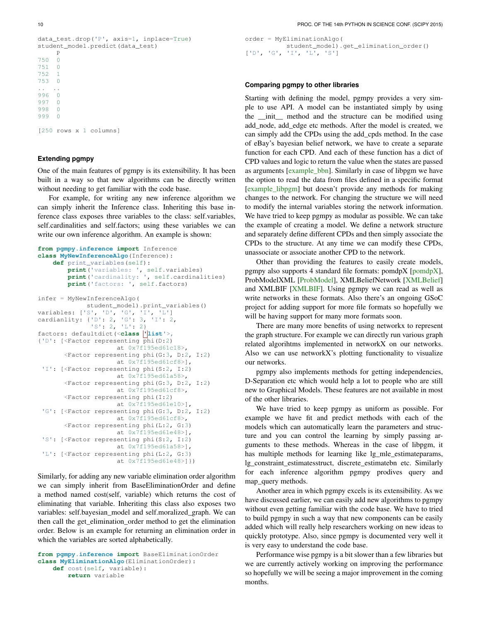```
data_test.drop('P', axis=1, inplace=True)
student_model.predict(data_test)
     P
750 0
751 0
752 1
753 0
.. ..
996 0<br>997 0
997
998 0
999 0
[250 rows x 1 columns]
```
## **Extending pgmpy**

One of the main features of pgmpy is its extensibility. It has been built in a way so that new algorithms can be directly written without needing to get familiar with the code base.

For example, for writing any new inference algorithm we can simply inherit the Inference class. Inheriting this base inference class exposes three variables to the class: self.variables, self.cardinalities and self.factors; using these variables we can write our own inference algorithm. An example is shown:

```
from pgmpy.inference import Inference
class MyNewInferenceAlgo(Inference):
    def print_variables(self):
        print('variables: ', self.variables)
        print('cardinality: ', self.cardinalities)
        print('factors: ', self.factors)
infer = MyNewInferenceAlgo(
             student_model).print_variables()
variables: ['S', 'D', 'G', 'I', 'L']
cardianlity: {'D': 2, 'G': 3, 'I': 2,
               'S': 2, 'L': 2}
factors: defaultdict(<class 'list'>,
{'D': [<Factor representing phi(D:2)
                     at 0x7f195ed61c18>,
       <Factor representing phi(G:3, D:2, I:2)
                     at 0x7f195ed61cf8>],
 'I': [<Factor representing phi(S:2, I:2)
                     at 0x7f195ed61a58>,
       <Factor representing phi(G:3, D:2, I:2)
                     at 0x7f195ed61cf8>,
       <Factor representing phi(I:2)
                     at 0x7f195ed61e10>],
 'G': [<Factor representing phi(G:3, D:2, I:2)
                     at 0x7f195ed61cf8>,
       <Factor representing phi(L:2, G:3)
                     at 0x7f195ed61e48>],
 'S': [<Factor representing phi(S:2, I:2)
                     at 0x7f195ed61a58>],
 'L': [<Factor representing phi(L:2, G:3)
                     at 0x7f195ed61e48>]})
```
Similarly, for adding any new variable elimination order algorithm we can simply inherit from BaseEliminationOrder and define a method named cost(self, variable) which returns the cost of eliminating that variable. Inheriting this class also exposes two variables: self.bayesian\_model and self.moralized\_graph. We can then call the get\_elimination\_order method to get the elimination order. Below is an example for returning an elimination order in which the variables are sorted alphabetically.

```
from pgmpy.inference import BaseEliminationOrder
class MyEliminationAlgo(EliminationOrder):
   def cost(self, variable):
        return variable
```
order = MyEliminationAlgo( student\_model).get\_elimination\_order() ['D', 'G', 'I', 'L', 'S']

### **Comparing pgmpy to other libraries**

Starting with defining the model, pgmpy provides a very simple to use API. A model can be instantiated simply by using the \_\_init\_\_ method and the structure can be modified using add\_node, add\_edge etc methods. After the model is created, we can simply add the CPDs using the add\_cpds method. In the case of eBay's bayesian belief network, we have to create a separate function for each CPD. And each of these function has a dict of CPD values and logic to return the value when the states are passed as arguments [\[example\\_bbn\]](#page-5-6). Similarly in case of libpgm we have the option to read the data from files defined in a specific format [\[example\\_libpgm\]](#page-5-7) but doesn't provide any methods for making changes to the network. For changing the structure we will need to modify the internal variables storing the network information. We have tried to keep pgmpy as modular as possible. We can take the example of creating a model. We define a network structure and separately define different CPDs and then simply associate the CPDs to the structure. At any time we can modify these CPDs, unassociate or associate another CPD to the network.

Other than providing the features to easily create models, pgmpy also supports 4 standard file formats: pomdpX [\[pomdpX\]](#page-5-8), ProbModelXML [\[ProbModel\]](#page-5-9), XMLBeliefNetwork [\[XMLBelief\]](#page-5-10) and XMLBIF [\[XMLBIF\]](#page-5-11). Using pgmpy we can read as well as write networks in these formats. Also there's an ongoing GSoC project for adding support for more file formats so hopefully we will be having support for many more formats soon.

There are many more benefits of using networkx to represent the graph structure. For example we can directly run various graph related algorihtms implemented in networkX on our networks. Also we can use networkX's plotting functionality to visualize our networks.

pgmpy also implements methods for getting independencies, D-Separation etc which would help a lot to people who are still new to Graphical Models. These features are not available in most of the other libraries.

We have tried to keep pgmpy as uniform as possible. For example we have fit and predict methods with each of the models which can automatically learn the parameters and structure and you can control the learning by simply passing arguments to these methods. Whereas in the case of libpgm, it has multiple methods for learning like lg\_mle\_estimateparams, lg\_constraint\_estimatesstruct, discrete\_estimatebn etc. Similarly for each inference algorithm pgmpy prodives query and map\_query methods.

Another area in which pgmpy excels is its extensibility. As we have discussed earlier, we can easily add new algorithms to pgmpy without even getting familiar with the code base. We have to tried to build pgmpy in such a way that new components can be easily added which will really help researchers working on new ideas to quickly prototype. Also, since pgmpy is documented very well it is very easy to understand the code base.

Performance wise pgmpy is a bit slower than a few libraries but we are currently actively working on improving the performance so hopefully we will be seeing a major improvement in the coming months.